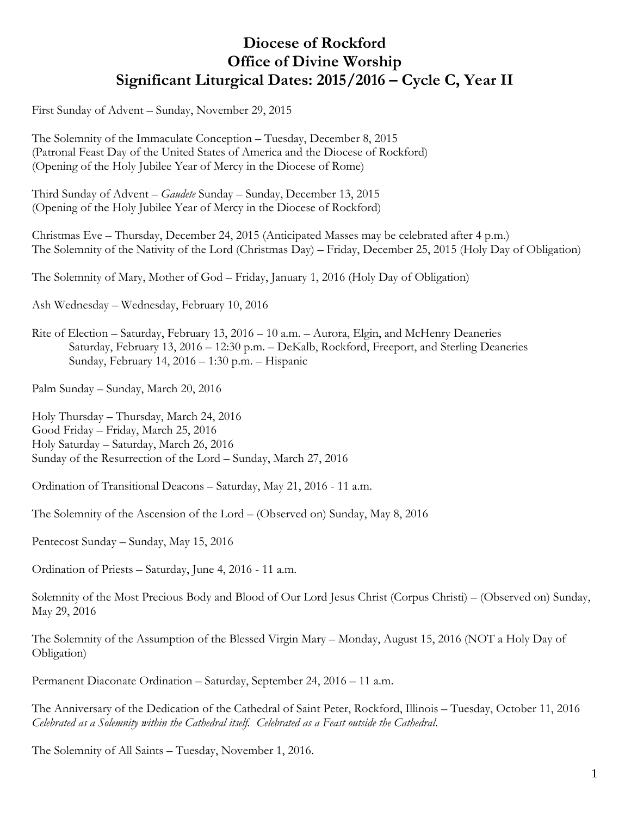# **Diocese of Rockford Office of Divine Worship Significant Liturgical Dates: 2015/2016 – Cycle C, Year II**

First Sunday of Advent – Sunday, November 29, 2015

The Solemnity of the Immaculate Conception – Tuesday, December 8, 2015 (Patronal Feast Day of the United States of America and the Diocese of Rockford) (Opening of the Holy Jubilee Year of Mercy in the Diocese of Rome)

Third Sunday of Advent – *Gaudete* Sunday – Sunday, December 13, 2015 (Opening of the Holy Jubilee Year of Mercy in the Diocese of Rockford)

Christmas Eve – Thursday, December 24, 2015 (Anticipated Masses may be celebrated after 4 p.m.) The Solemnity of the Nativity of the Lord (Christmas Day) – Friday, December 25, 2015 (Holy Day of Obligation)

The Solemnity of Mary, Mother of God – Friday, January 1, 2016 (Holy Day of Obligation)

Ash Wednesday – Wednesday, February 10, 2016

Rite of Election – Saturday, February 13, 2016 – 10 a.m. – Aurora, Elgin, and McHenry Deaneries Saturday, February 13, 2016 – 12:30 p.m. – DeKalb, Rockford, Freeport, and Sterling Deaneries Sunday, February 14, 2016 – 1:30 p.m. – Hispanic

Palm Sunday – Sunday, March 20, 2016

Holy Thursday – Thursday, March 24, 2016 Good Friday – Friday, March 25, 2016 Holy Saturday – Saturday, March 26, 2016 Sunday of the Resurrection of the Lord – Sunday, March 27, 2016

Ordination of Transitional Deacons – Saturday, May 21, 2016 - 11 a.m.

The Solemnity of the Ascension of the Lord – (Observed on) Sunday, May 8, 2016

Pentecost Sunday – Sunday, May 15, 2016

Ordination of Priests – Saturday, June 4, 2016 - 11 a.m.

Solemnity of the Most Precious Body and Blood of Our Lord Jesus Christ (Corpus Christi) – (Observed on) Sunday, May 29, 2016

The Solemnity of the Assumption of the Blessed Virgin Mary – Monday, August 15, 2016 (NOT a Holy Day of Obligation)

Permanent Diaconate Ordination – Saturday, September 24, 2016 – 11 a.m.

The Anniversary of the Dedication of the Cathedral of Saint Peter, Rockford, Illinois – Tuesday, October 11, 2016 *Celebrated as a Solemnity within the Cathedral itself. Celebrated as a Feast outside the Cathedral*.

The Solemnity of All Saints – Tuesday, November 1, 2016.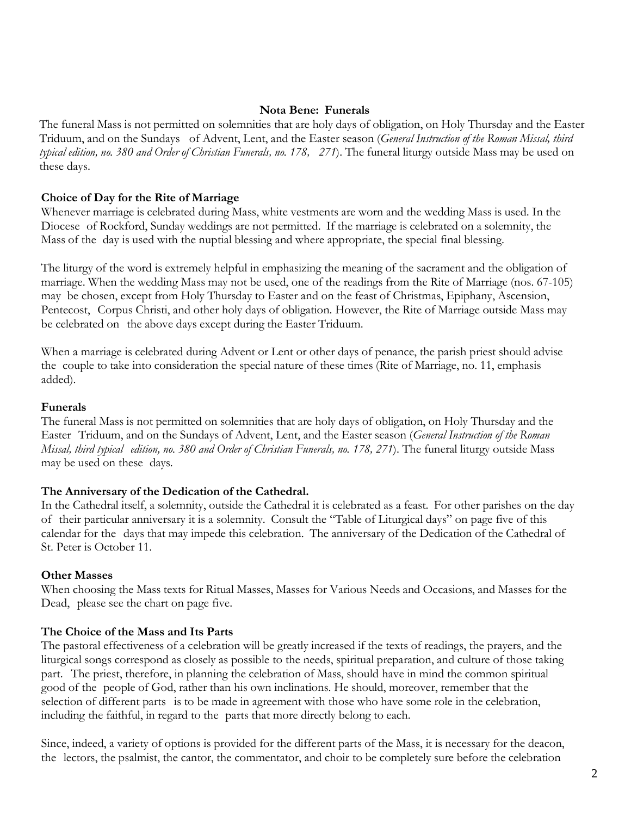## **Nota Bene: Funerals**

The funeral Mass is not permitted on solemnities that are holy days of obligation, on Holy Thursday and the Easter Triduum, and on the Sundays of Advent, Lent, and the Easter season (*General Instruction of the Roman Missal, third typical edition, no. 380 and Order of Christian Funerals, no. 178, 271*). The funeral liturgy outside Mass may be used on these days.

## **Choice of Day for the Rite of Marriage**

Whenever marriage is celebrated during Mass, white vestments are worn and the wedding Mass is used. In the Diocese of Rockford, Sunday weddings are not permitted. If the marriage is celebrated on a solemnity, the Mass of the day is used with the nuptial blessing and where appropriate, the special final blessing.

The liturgy of the word is extremely helpful in emphasizing the meaning of the sacrament and the obligation of marriage. When the wedding Mass may not be used, one of the readings from the Rite of Marriage (nos. 67-105) may be chosen, except from Holy Thursday to Easter and on the feast of Christmas, Epiphany, Ascension, Pentecost, Corpus Christi, and other holy days of obligation. However, the Rite of Marriage outside Mass may be celebrated on the above days except during the Easter Triduum.

When a marriage is celebrated during Advent or Lent or other days of penance, the parish priest should advise the couple to take into consideration the special nature of these times (Rite of Marriage, no. 11, emphasis added).

#### **Funerals**

The funeral Mass is not permitted on solemnities that are holy days of obligation, on Holy Thursday and the Easter Triduum, and on the Sundays of Advent, Lent, and the Easter season (*General Instruction of the Roman Missal, third typical edition, no. 380 and Order of Christian Funerals, no. 178, 271*). The funeral liturgy outside Mass may be used on these days.

### **The Anniversary of the Dedication of the Cathedral.**

In the Cathedral itself, a solemnity, outside the Cathedral it is celebrated as a feast. For other parishes on the day of their particular anniversary it is a solemnity. Consult the "Table of Liturgical days" on page five of this calendar for the days that may impede this celebration. The anniversary of the Dedication of the Cathedral of St. Peter is October 11.

#### **Other Masses**

When choosing the Mass texts for Ritual Masses, Masses for Various Needs and Occasions, and Masses for the Dead, please see the chart on page five.

## **The Choice of the Mass and Its Parts**

The pastoral effectiveness of a celebration will be greatly increased if the texts of readings, the prayers, and the liturgical songs correspond as closely as possible to the needs, spiritual preparation, and culture of those taking part. The priest, therefore, in planning the celebration of Mass, should have in mind the common spiritual good of the people of God, rather than his own inclinations. He should, moreover, remember that the selection of different parts is to be made in agreement with those who have some role in the celebration, including the faithful, in regard to the parts that more directly belong to each.

Since, indeed, a variety of options is provided for the different parts of the Mass, it is necessary for the deacon, the lectors, the psalmist, the cantor, the commentator, and choir to be completely sure before the celebration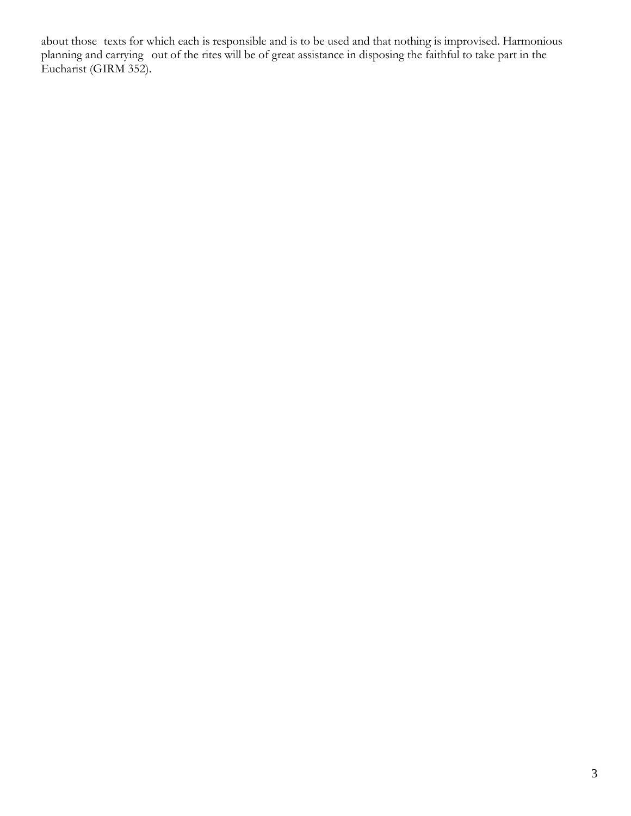about those texts for which each is responsible and is to be used and that nothing is improvised. Harmonious planning and carrying out of the rites will be of great assistance in disposing the faithful to take part in the Eucharist (GIRM 352).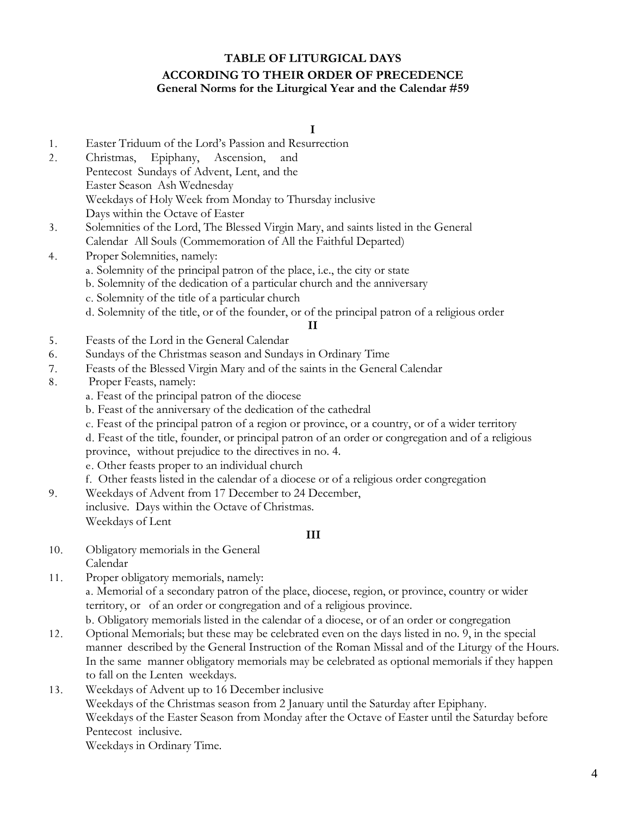# **TABLE OF LITURGICAL DAYS ACCORDING TO THEIR ORDER OF PRECEDENCE General Norms for the Liturgical Year and the Calendar #59**

**I**

- 1. Easter Triduum of the Lord's Passion and Resurrection
- 2. Christmas, Epiphany, Ascension, and Pentecost Sundays of Advent, Lent, and the Easter Season Ash Wednesday Weekdays of Holy Week from Monday to Thursday inclusive Days within the Octave of Easter
- 3. Solemnities of the Lord, The Blessed Virgin Mary, and saints listed in the General Calendar All Souls (Commemoration of All the Faithful Departed)

## 4. Proper Solemnities, namely:

- a. Solemnity of the principal patron of the place, i.e., the city or state
- b. Solemnity of the dedication of a particular church and the anniversary
- c. Solemnity of the title of a particular church
- d. Solemnity of the title, or of the founder, or of the principal patron of a religious order

**II**

- 5. Feasts of the Lord in the General Calendar
- 6. Sundays of the Christmas season and Sundays in Ordinary Time
- 7. Feasts of the Blessed Virgin Mary and of the saints in the General Calendar
- 8. Proper Feasts, namely:
	- a. Feast of the principal patron of the diocese
	- b. Feast of the anniversary of the dedication of the cathedral
	- c. Feast of the principal patron of a region or province, or a country, or of a wider territory

d. Feast of the title, founder, or principal patron of an order or congregation and of a religious province, without prejudice to the directives in no. 4.

- e. Other feasts proper to an individual church
- f. Other feasts listed in the calendar of a diocese or of a religious order congregation
- 9. Weekdays of Advent from 17 December to 24 December, inclusive. Days within the Octave of Christmas. Weekdays of Lent

## **III**

- 10. Obligatory memorials in the General Calendar
- 11. Proper obligatory memorials, namely: a. Memorial of a secondary patron of the place, diocese, region, or province, country or wider territory, or of an order or congregation and of a religious province. b. Obligatory memorials listed in the calendar of a diocese, or of an order or congregation
- 12. Optional Memorials; but these may be celebrated even on the days listed in no. 9, in the special manner described by the General Instruction of the Roman Missal and of the Liturgy of the Hours. In the same manner obligatory memorials may be celebrated as optional memorials if they happen to fall on the Lenten weekdays.
- 13. Weekdays of Advent up to 16 December inclusive Weekdays of the Christmas season from 2 January until the Saturday after Epiphany. Weekdays of the Easter Season from Monday after the Octave of Easter until the Saturday before Pentecost inclusive.

Weekdays in Ordinary Time.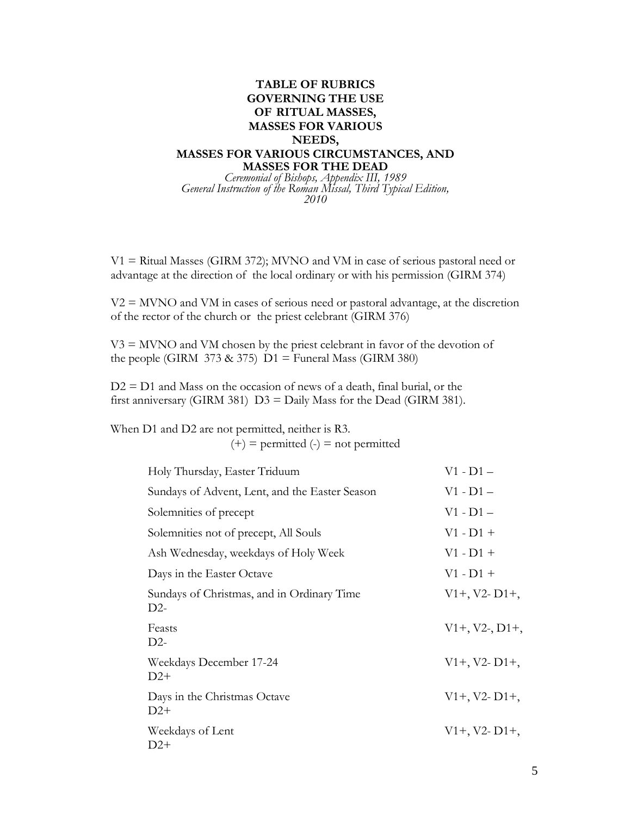## **TABLE OF RUBRICS GOVERNING THE USE OF RITUAL MASSES, MASSES FOR VARIOUS NEEDS, MASSES FOR VARIOUS CIRCUMSTANCES, AND MASSES FOR THE DEAD** *Ceremonial of Bishops, Appendix III, 1989*

*General Instruction of the Roman Missal, Third Typical Edition, 2010*

 $V1 =$  Ritual Masses (GIRM 372); MVNO and VM in case of serious pastoral need or advantage at the direction of the local ordinary or with his permission (GIRM 374)

 $V2 = MVNO$  and VM in cases of serious need or pastoral advantage, at the discretion of the rector of the church or the priest celebrant (GIRM 376)

 $V3 = MVNO$  and VM chosen by the priest celebrant in favor of the devotion of the people (GIRM 373 & 375)  $D1 =$  Funeral Mass (GIRM 380)

 $D2 = D1$  and Mass on the occasion of news of a death, final burial, or the first anniversary (GIRM 381)  $D3 =$  Daily Mass for the Dead (GIRM 381).

When D1 and D2 are not permitted, neither is R3.  $(+)$  = permitted  $(-)$  = not permitted

| Holy Thursday, Easter Triduum                       | $V1 - D1 -$      |
|-----------------------------------------------------|------------------|
| Sundays of Advent, Lent, and the Easter Season      | $V1 - D1 -$      |
| Solemnities of precept                              | $V1 - D1 -$      |
| Solemnities not of precept, All Souls               | $V1 - D1 +$      |
| Ash Wednesday, weekdays of Holy Week                | $V1 - D1 +$      |
| Days in the Easter Octave                           | $V1 - D1 +$      |
| Sundays of Christmas, and in Ordinary Time<br>$D2-$ | $V1+, V2 - D1+,$ |
| Feasts<br>$D2-$                                     | $V1+, V2-, D1+,$ |
| Weekdays December 17-24<br>$D2+$                    | $V1+, V2 - D1+,$ |
| Days in the Christmas Octave<br>$D2+$               | $V1+, V2- D1+,$  |
| Weekdays of Lent<br>$D2+$                           | $V1+, V2 - D1+,$ |